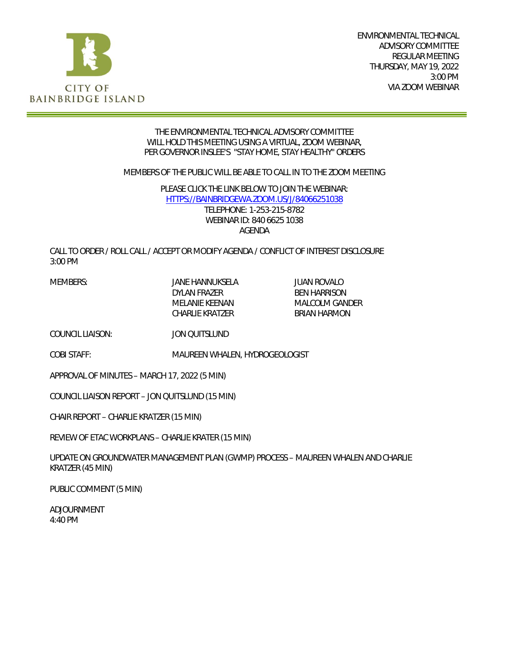

ENVIRONMENTAL TECHNICAL ADVISORY COMMITTEE REGULAR MEETING THURSDAY, MAY 19, 2022 3:00 PM VIA ZOOM WEBINAR

#### THE ENVIRONMENTAL TECHNICAL ADVISORY COMMITTEE WILL HOLD THIS MEETING USING A VIRTUAL, ZOOM WEBINAR, PER GOVERNOR INSLEE'S "STAY HOME, STAY HEALTHY" ORDERS

MEMBERS OF THE PUBLIC WILL BE ABLE TO CALL IN TO THE ZOOM MEETING

PLEASE CLICK THE LINK BELOW TO JOIN THE WEBINAR: [HTTPS://BAINBRIDGEWA.ZOOM.US/J/84066251038](https://bainbridgewa.zoom.us/j/84066251038) TELEPHONE: 1-253-215-8782 WEBINAR ID: 840 6625 1038 AGENDA

CALL TO ORDER / ROLL CALL / ACCEPT OR MODIFY AGENDA / CONFLICT OF INTEREST DISCLOSURE 3:00 PM

DYLAN FRAZER BEN HARRISON CHARLIE KRATZER

MEMBERS: JANE HANNUKSELA JUAN ROVALO MALCOLM GANDER<br>BRIAN HARMON

COUNCIL LIAISON: JON QUITSLUND

COBI STAFF: MAUREEN WHALEN, HYDROGEOLOGIST

APPROVAL OF MINUTES – MARCH 17, 2022 (5 MIN)

COUNCIL LIAISON REPORT – JON QUITSLUND (15 MIN)

CHAIR REPORT – CHARLIE KRATZER (15 MIN)

REVIEW OF ETAC WORKPLANS – CHARLIE KRATER (15 MIN)

UPDATE ON GROUNDWATER MANAGEMENT PLAN (GWMP) PROCESS – MAUREEN WHALEN AND CHARLIE KRATZER (45 MIN)

PUBLIC COMMENT (5 MIN)

ADJOURNMENT 4:40 PM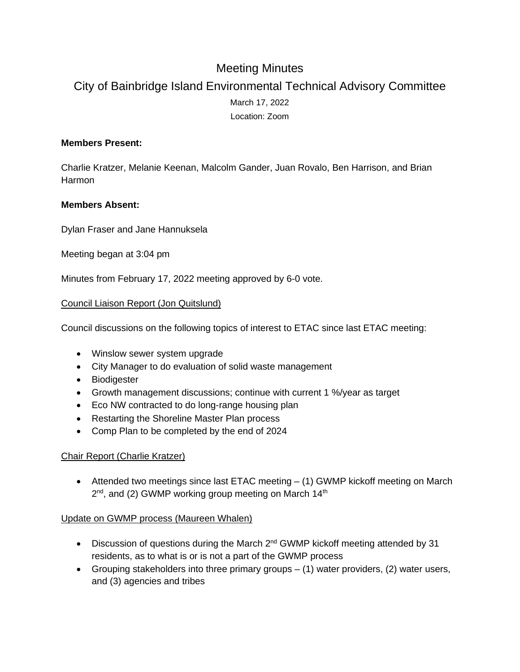# Meeting Minutes

# City of Bainbridge Island Environmental Technical Advisory Committee March 17, 2022 Location: Zoom

### **Members Present:**

Charlie Kratzer, Melanie Keenan, Malcolm Gander, Juan Rovalo, Ben Harrison, and Brian Harmon

### **Members Absent:**

Dylan Fraser and Jane Hannuksela

Meeting began at 3:04 pm

Minutes from February 17, 2022 meeting approved by 6-0 vote.

### Council Liaison Report (Jon Quitslund)

Council discussions on the following topics of interest to ETAC since last ETAC meeting:

- Winslow sewer system upgrade
- City Manager to do evaluation of solid waste management
- Biodigester
- Growth management discussions; continue with current 1 %/year as target
- Eco NW contracted to do long-range housing plan
- Restarting the Shoreline Master Plan process
- Comp Plan to be completed by the end of 2024

#### Chair Report (Charlie Kratzer)

 Attended two meetings since last ETAC meeting – (1) GWMP kickoff meeting on March  $2<sup>nd</sup>$ , and (2) GWMP working group meeting on March 14<sup>th</sup>

#### Update on GWMP process (Maureen Whalen)

- $\bullet$  Discussion of questions during the March 2<sup>nd</sup> GWMP kickoff meeting attended by 31 residents, as to what is or is not a part of the GWMP process
- Grouping stakeholders into three primary groups (1) water providers, (2) water users, and (3) agencies and tribes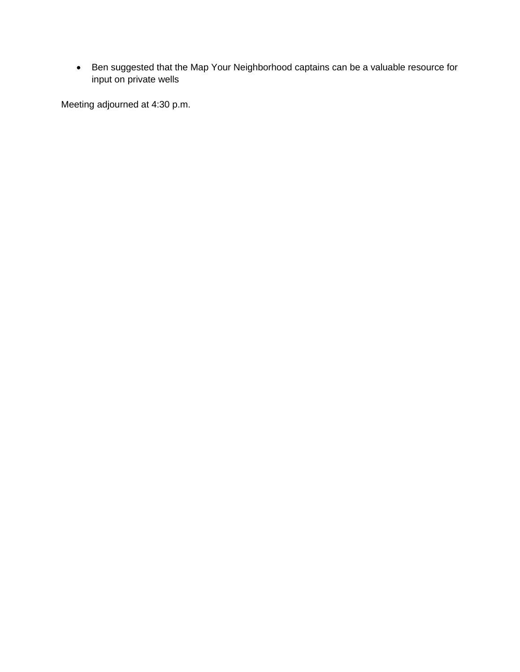Ben suggested that the Map Your Neighborhood captains can be a valuable resource for input on private wells

Meeting adjourned at 4:30 p.m.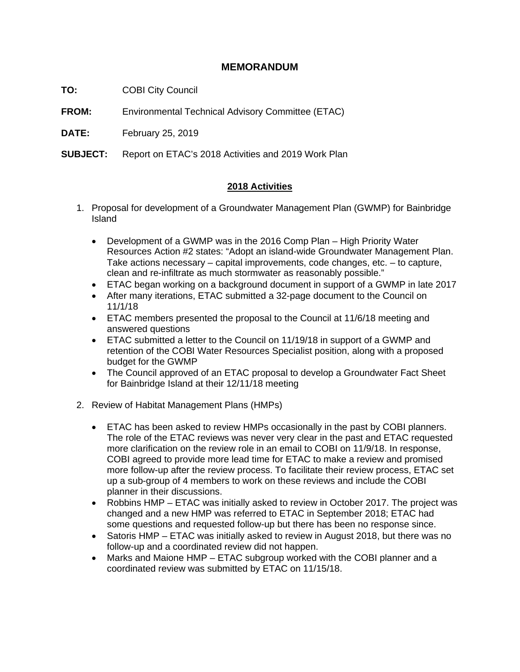## **MEMORANDUM**

**TO:** COBI City Council

**FROM:** Environmental Technical Advisory Committee (ETAC)

**DATE:** February 25, 2019

**SUBJECT:** Report on ETAC's 2018 Activities and 2019 Work Plan

### **2018 Activities**

- 1. Proposal for development of a Groundwater Management Plan (GWMP) for Bainbridge Island
	- Development of a GWMP was in the 2016 Comp Plan High Priority Water Resources Action #2 states: "Adopt an island-wide Groundwater Management Plan. Take actions necessary – capital improvements, code changes, etc. – to capture, clean and re-infiltrate as much stormwater as reasonably possible."
	- ETAC began working on a background document in support of a GWMP in late 2017
	- After many iterations, ETAC submitted a 32-page document to the Council on 11/1/18
	- ETAC members presented the proposal to the Council at 11/6/18 meeting and answered questions
	- ETAC submitted a letter to the Council on 11/19/18 in support of a GWMP and retention of the COBI Water Resources Specialist position, along with a proposed budget for the GWMP
	- The Council approved of an ETAC proposal to develop a Groundwater Fact Sheet for Bainbridge Island at their 12/11/18 meeting
- 2. Review of Habitat Management Plans (HMPs)
	- ETAC has been asked to review HMPs occasionally in the past by COBI planners. The role of the ETAC reviews was never very clear in the past and ETAC requested more clarification on the review role in an email to COBI on 11/9/18. In response, COBI agreed to provide more lead time for ETAC to make a review and promised more follow-up after the review process. To facilitate their review process, ETAC set up a sub-group of 4 members to work on these reviews and include the COBI planner in their discussions.
	- Robbins HMP ETAC was initially asked to review in October 2017. The project was changed and a new HMP was referred to ETAC in September 2018; ETAC had some questions and requested follow-up but there has been no response since.
	- Satoris HMP ETAC was initially asked to review in August 2018, but there was no follow-up and a coordinated review did not happen.
	- Marks and Maione HMP ETAC subgroup worked with the COBI planner and a coordinated review was submitted by ETAC on 11/15/18.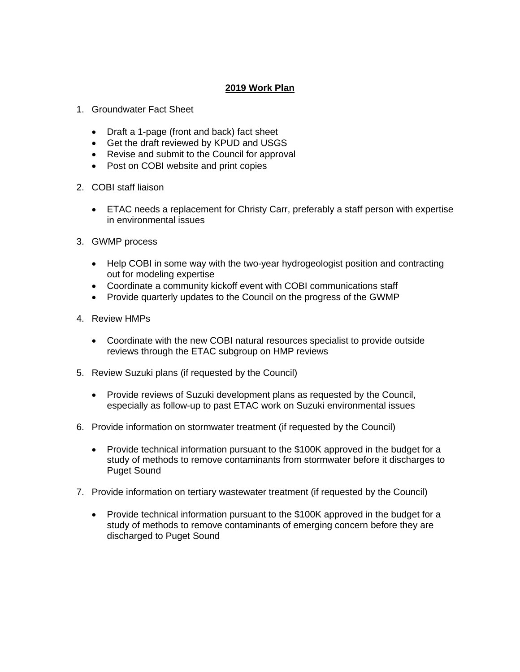## **2019 Work Plan**

- 1. Groundwater Fact Sheet
	- Draft a 1-page (front and back) fact sheet
	- Get the draft reviewed by KPUD and USGS
	- Revise and submit to the Council for approval
	- Post on COBI website and print copies
- 2. COBI staff liaison
	- ETAC needs a replacement for Christy Carr, preferably a staff person with expertise in environmental issues
- 3. GWMP process
	- Help COBI in some way with the two-year hydrogeologist position and contracting out for modeling expertise
	- Coordinate a community kickoff event with COBI communications staff
	- Provide quarterly updates to the Council on the progress of the GWMP
- 4. Review HMPs
	- Coordinate with the new COBI natural resources specialist to provide outside reviews through the ETAC subgroup on HMP reviews
- 5. Review Suzuki plans (if requested by the Council)
	- Provide reviews of Suzuki development plans as requested by the Council, especially as follow-up to past ETAC work on Suzuki environmental issues
- 6. Provide information on stormwater treatment (if requested by the Council)
	- Provide technical information pursuant to the \$100K approved in the budget for a study of methods to remove contaminants from stormwater before it discharges to Puget Sound
- 7. Provide information on tertiary wastewater treatment (if requested by the Council)
	- Provide technical information pursuant to the \$100K approved in the budget for a study of methods to remove contaminants of emerging concern before they are discharged to Puget Sound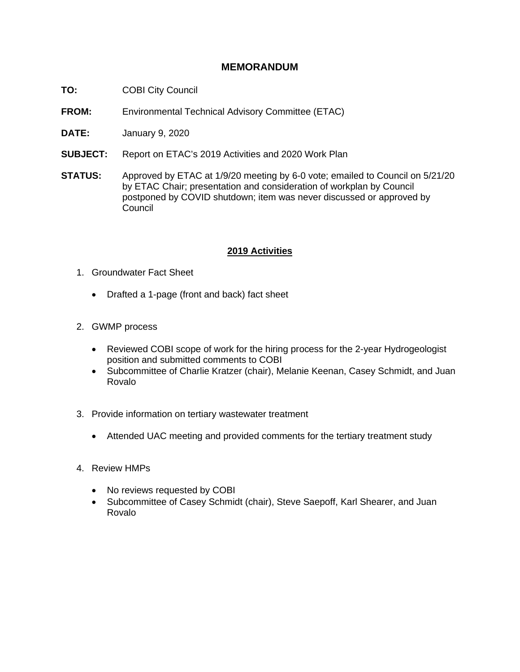# **MEMORANDUM**

- **TO:** COBI City Council
- **FROM:** Environmental Technical Advisory Committee (ETAC)
- **DATE:** January 9, 2020
- **SUBJECT:** Report on ETAC's 2019 Activities and 2020 Work Plan
- **STATUS:** Approved by ETAC at 1/9/20 meeting by 6-0 vote; emailed to Council on 5/21/20 by ETAC Chair; presentation and consideration of workplan by Council postponed by COVID shutdown; item was never discussed or approved by **Council**

#### **2019 Activities**

- 1. Groundwater Fact Sheet
	- Drafted a 1-page (front and back) fact sheet
- 2. GWMP process
	- Reviewed COBI scope of work for the hiring process for the 2-year Hydrogeologist position and submitted comments to COBI
	- Subcommittee of Charlie Kratzer (chair), Melanie Keenan, Casey Schmidt, and Juan Rovalo
- 3. Provide information on tertiary wastewater treatment
	- Attended UAC meeting and provided comments for the tertiary treatment study
- 4. Review HMPs
	- No reviews requested by COBI
	- Subcommittee of Casey Schmidt (chair), Steve Saepoff, Karl Shearer, and Juan Rovalo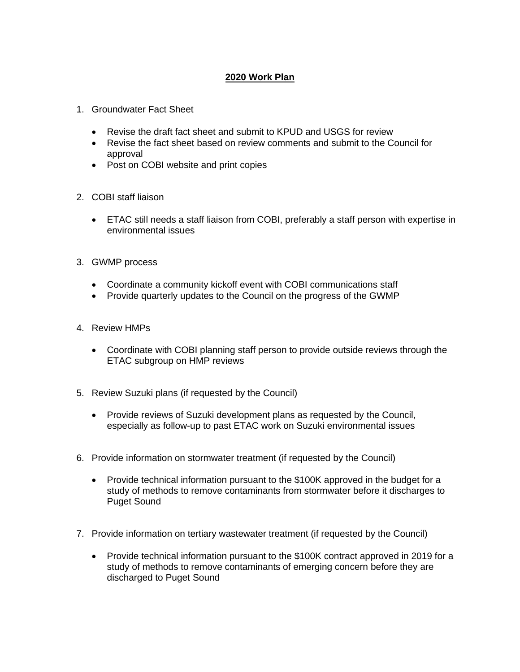## **2020 Work Plan**

- 1. Groundwater Fact Sheet
	- Revise the draft fact sheet and submit to KPUD and USGS for review
	- Revise the fact sheet based on review comments and submit to the Council for approval
	- Post on COBI website and print copies
- 2. COBI staff liaison
	- ETAC still needs a staff liaison from COBI, preferably a staff person with expertise in environmental issues
- 3. GWMP process
	- Coordinate a community kickoff event with COBI communications staff
	- Provide quarterly updates to the Council on the progress of the GWMP
- 4. Review HMPs
	- Coordinate with COBI planning staff person to provide outside reviews through the ETAC subgroup on HMP reviews
- 5. Review Suzuki plans (if requested by the Council)
	- Provide reviews of Suzuki development plans as requested by the Council, especially as follow-up to past ETAC work on Suzuki environmental issues
- 6. Provide information on stormwater treatment (if requested by the Council)
	- Provide technical information pursuant to the \$100K approved in the budget for a study of methods to remove contaminants from stormwater before it discharges to Puget Sound
- 7. Provide information on tertiary wastewater treatment (if requested by the Council)
	- Provide technical information pursuant to the \$100K contract approved in 2019 for a study of methods to remove contaminants of emerging concern before they are discharged to Puget Sound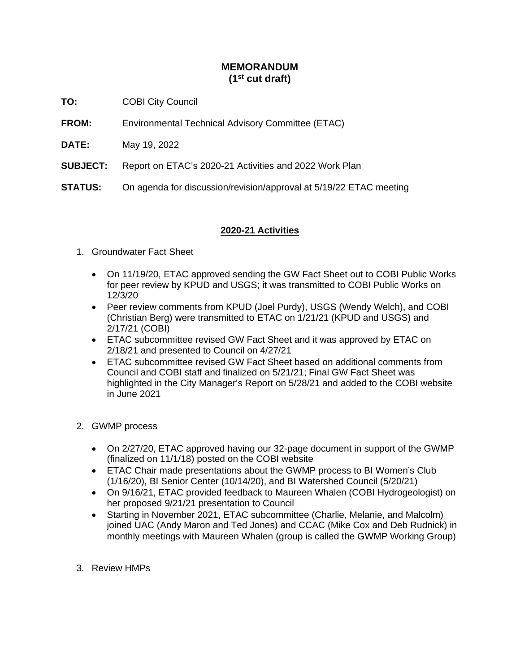# **MEMORANDUM (1st cut draft)**

- **TO:** COBI City Council
- **FROM:** Environmental Technical Advisory Committee (ETAC)
- **DATE:** May 19, 2022
- **SUBJECT:** Report on ETAC's 2020-21 Activities and 2022 Work Plan
- **STATUS:** On agenda for discussion/revision/approval at 5/19/22 ETAC meeting

### **2020-21 Activities**

- 1. Groundwater Fact Sheet
	- On 11/19/20, ETAC approved sending the GW Fact Sheet out to COBI Public Works for peer review by KPUD and USGS; it was transmitted to COBI Public Works on 12/3/20
	- Peer review comments from KPUD (Joel Purdy), USGS (Wendy Welch), and COBI (Christian Berg) were transmitted to ETAC on 1/21/21 (KPUD and USGS) and 2/17/21 (COBI)
	- ETAC subcommittee revised GW Fact Sheet and it was approved by ETAC on 2/18/21 and presented to Council on 4/27/21
	- ETAC subcommittee revised GW Fact Sheet based on additional comments from Council and COBI staff and finalized on 5/21/21; Final GW Fact Sheet was highlighted in the City Manager's Report on 5/28/21 and added to the COBI website in June 2021
- 2. GWMP process
	- On 2/27/20, ETAC approved having our 32-page document in support of the GWMP (finalized on 11/1/18) posted on the COBI website
	- ETAC Chair made presentations about the GWMP process to BI Women's Club (1/16/20), BI Senior Center (10/14/20), and BI Watershed Council (5/20/21)
	- On 9/16/21, ETAC provided feedback to Maureen Whalen (COBI Hydrogeologist) on her proposed 9/21/21 presentation to Council
	- Starting in November 2021, ETAC subcommittee (Charlie, Melanie, and Malcolm) joined UAC (Andy Maron and Ted Jones) and CCAC (Mike Cox and Deb Rudnick) in monthly meetings with Maureen Whalen (group is called the GWMP Working Group)
- 3. Review HMPs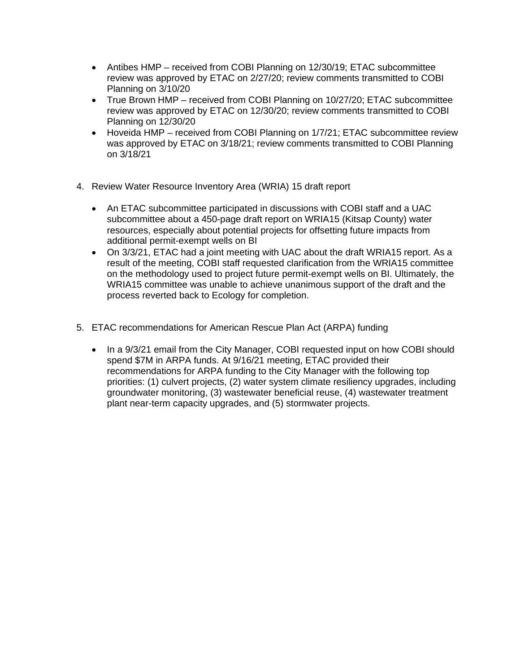- Antibes HMP received from COBI Planning on 12/30/19; ETAC subcommittee review was approved by ETAC on 2/27/20; review comments transmitted to COBI Planning on 3/10/20
- True Brown HMP received from COBI Planning on 10/27/20; ETAC subcommittee review was approved by ETAC on 12/30/20; review comments transmitted to COBI Planning on 12/30/20
- Hoveida HMP received from COBI Planning on 1/7/21; ETAC subcommittee review was approved by ETAC on 3/18/21; review comments transmitted to COBI Planning on 3/18/21
- 4. Review Water Resource Inventory Area (WRIA) 15 draft report
	- An ETAC subcommittee participated in discussions with COBI staff and a UAC subcommittee about a 450-page draft report on WRIA15 (Kitsap County) water resources, especially about potential projects for offsetting future impacts from additional permit-exempt wells on BI
	- On 3/3/21, ETAC had a joint meeting with UAC about the draft WRIA15 report. As a result of the meeting, COBI staff requested clarification from the WRIA15 committee on the methodology used to project future permit-exempt wells on BI. Ultimately, the WRIA15 committee was unable to achieve unanimous support of the draft and the process reverted back to Ecology for completion.
- 5. ETAC recommendations for American Rescue Plan Act (ARPA) funding
	- In a 9/3/21 email from the City Manager, COBI requested input on how COBI should spend \$7M in ARPA funds. At 9/16/21 meeting, ETAC provided their recommendations for ARPA funding to the City Manager with the following top priorities: (1) culvert projects, (2) water system climate resiliency upgrades, including groundwater monitoring, (3) wastewater beneficial reuse, (4) wastewater treatment plant near-term capacity upgrades, and (5) stormwater projects.